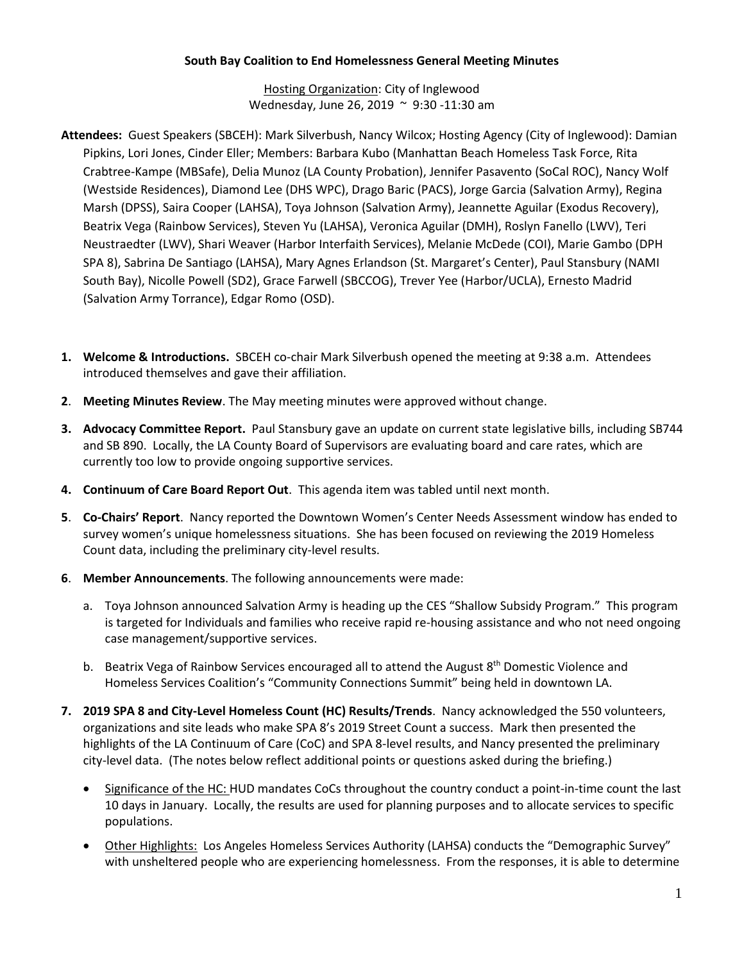## **South Bay Coalition to End Homelessness General Meeting Minutes**

Hosting Organization: City of Inglewood Wednesday, June 26, 2019 ~ 9:30 -11:30 am

- **Attendees:** Guest Speakers (SBCEH): Mark Silverbush, Nancy Wilcox; Hosting Agency (City of Inglewood): Damian Pipkins, Lori Jones, Cinder Eller; Members: Barbara Kubo (Manhattan Beach Homeless Task Force, Rita Crabtree-Kampe (MBSafe), Delia Munoz (LA County Probation), Jennifer Pasavento (SoCal ROC), Nancy Wolf (Westside Residences), Diamond Lee (DHS WPC), Drago Baric (PACS), Jorge Garcia (Salvation Army), Regina Marsh (DPSS), Saira Cooper (LAHSA), Toya Johnson (Salvation Army), Jeannette Aguilar (Exodus Recovery), Beatrix Vega (Rainbow Services), Steven Yu (LAHSA), Veronica Aguilar (DMH), Roslyn Fanello (LWV), Teri Neustraedter (LWV), Shari Weaver (Harbor Interfaith Services), Melanie McDede (COI), Marie Gambo (DPH SPA 8), Sabrina De Santiago (LAHSA), Mary Agnes Erlandson (St. Margaret's Center), Paul Stansbury (NAMI South Bay), Nicolle Powell (SD2), Grace Farwell (SBCCOG), Trever Yee (Harbor/UCLA), Ernesto Madrid (Salvation Army Torrance), Edgar Romo (OSD).
- **1. Welcome & Introductions.** SBCEH co-chair Mark Silverbush opened the meeting at 9:38 a.m. Attendees introduced themselves and gave their affiliation.
- **2**. **Meeting Minutes Review**. The May meeting minutes were approved without change.
- **3. Advocacy Committee Report.** Paul Stansbury gave an update on current state legislative bills, including SB744 and SB 890. Locally, the LA County Board of Supervisors are evaluating board and care rates, which are currently too low to provide ongoing supportive services.
- **4. Continuum of Care Board Report Out**. This agenda item was tabled until next month.
- **5**. **Co-Chairs' Report**. Nancy reported the Downtown Women's Center Needs Assessment window has ended to survey women's unique homelessness situations. She has been focused on reviewing the 2019 Homeless Count data, including the preliminary city-level results.
- **6**. **Member Announcements**. The following announcements were made:
	- a. Toya Johnson announced Salvation Army is heading up the CES "Shallow Subsidy Program." This program is targeted for Individuals and families who receive rapid re-housing assistance and who not need ongoing case management/supportive services.
	- b. Beatrix Vega of Rainbow Services encouraged all to attend the August 8<sup>th</sup> Domestic Violence and Homeless Services Coalition's "Community Connections Summit" being held in downtown LA.
- **7. 2019 SPA 8 and City-Level Homeless Count (HC) Results/Trends**. Nancy acknowledged the 550 volunteers, organizations and site leads who make SPA 8's 2019 Street Count a success. Mark then presented the highlights of the LA Continuum of Care (CoC) and SPA 8-level results, and Nancy presented the preliminary city-level data. (The notes below reflect additional points or questions asked during the briefing.)
	- Significance of the HC: HUD mandates CoCs throughout the country conduct a point-in-time count the last 10 days in January. Locally, the results are used for planning purposes and to allocate services to specific populations.
	- Other Highlights: Los Angeles Homeless Services Authority (LAHSA) conducts the "Demographic Survey" with unsheltered people who are experiencing homelessness. From the responses, it is able to determine